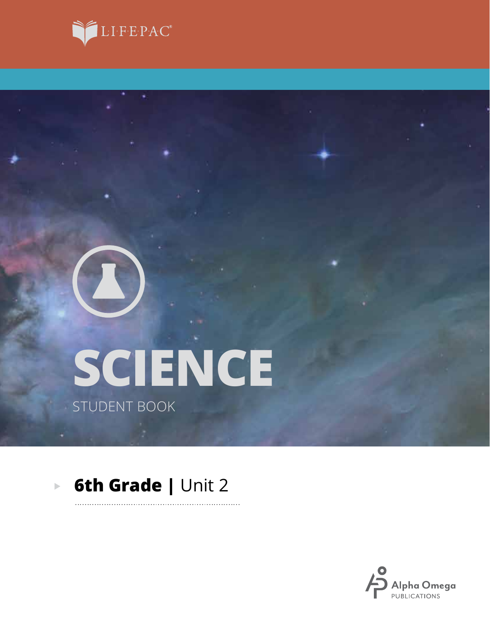



# **SCIENCE** STUDENT BOOK

#### **6th Grade | Unit 2**  $\overline{\mathbb{R}}$

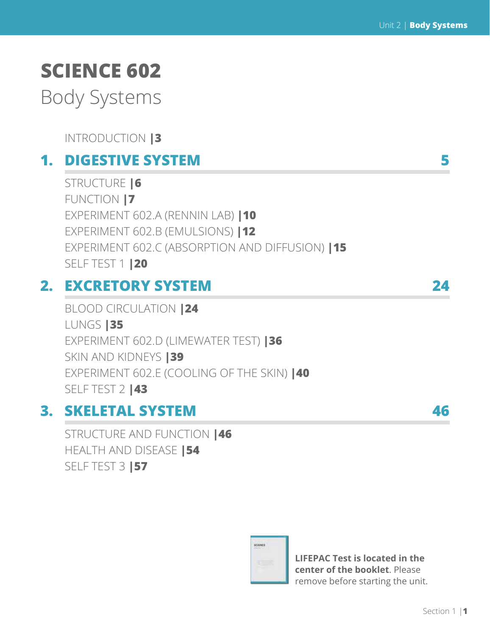# **SCIENCE 602**

Body Systems

INTRODUCTION **|3**

# **1. DIGESTIVE SYSTEM 5**

STRUCTURE **|6** FUNCTION **|7** EXPERIMENT 602.A (RENNIN LAB) **|10** EXPERIMENT 602.B (EMULSIONS) **|12** EXPERIMENT 602.C (ABSORPTION AND DIFFUSION) **|15** SELF TEST 1 **|20**

# **2. EXCRETORY SYSTEM 24**

BLOOD CIRCULATION **|24** LUNGS **|35** EXPERIMENT 602.D (LIMEWATER TEST) **|36** SKIN AND KIDNEYS **|39**  EXPERIMENT 602.E (COOLING OF THE SKIN) **|40**  SELF TEST 2 **|43**

# **3. SKELETAL SYSTEM 46**

STRUCTURE AND FUNCTION **|46** HEALTH AND DISEASE **|54** SELF TEST 3 **|57**



**LIFEPAC Test is located in the center of the booklet**. Please remove before starting the unit.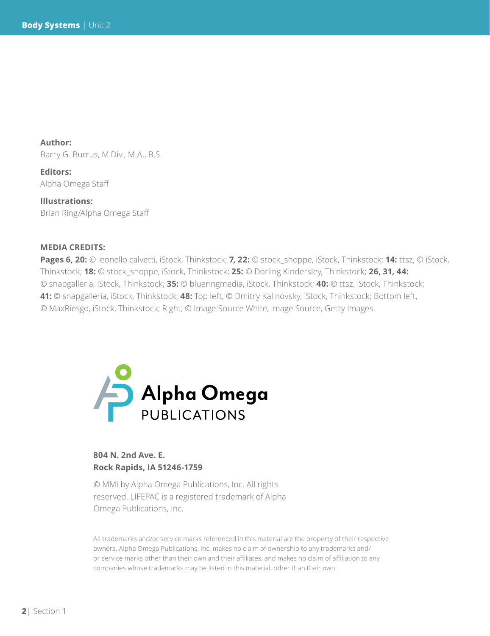**Author:**  Barry G. Burrus, M.Div., M.A., B.S.

**Editors:** Alpha Omega Staff

**Illustrations:** Brian Ring/Alpha Omega Staff

#### **MEDIA CREDITS:**

**Pages 6, 20:** © leonello calvetti, iStock, Thinkstock; **7, 22:** © stock\_shoppe, iStock, Thinkstock; **14:** ttsz, © iStock, Thinkstock; **18:** © stock\_shoppe, iStock, Thinkstock; **25:** © Dorling Kindersley, Thinkstock; **26, 31, 44:**  © snapgalleria, iStock, Thinkstock; **35:** © blueringmedia, iStock, Thinkstock; **40:** © ttsz, iStock, Thinkstock; **41:** © snapgalleria, iStock, Thinkstock; **48:** Top left, © Dmitry Kalinovsky, iStock, Thinkstock; Bottom left, © MaxRiesgo, iStock, Thinkstock; Right, © Image Source White, Image Source, Getty Images.



### **804 N. 2nd Ave. E. Rock Rapids, IA 51246-1759**

© MMI by Alpha Omega Publications, Inc. All rights reserved. LIFEPAC is a registered trademark of Alpha Omega Publications, Inc.

All trademarks and/or service marks referenced in this material are the property of their respective owners. Alpha Omega Publications, Inc. makes no claim of ownership to any trademarks and/ or service marks other than their own and their affiliates, and makes no claim of affiliation to any companies whose trademarks may be listed in this material, other than their own.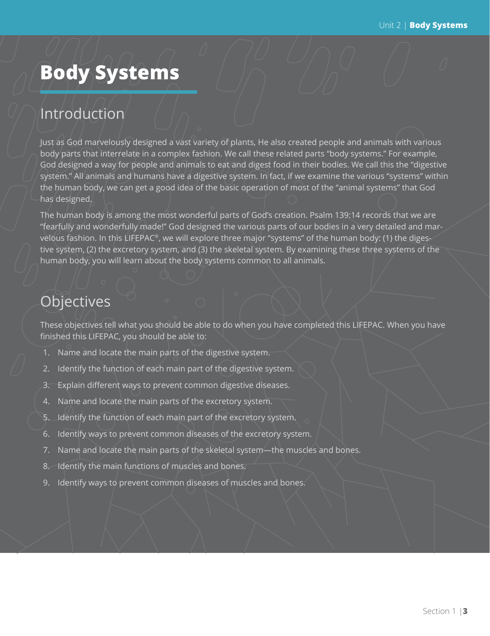# **Body Systems**

# Introduction

Just as God marvelously designed a vast variety of plants, He also created people and animals with various body parts that interrelate in a complex fashion. We call these related parts "body systems." For example, God designed a way for people and animals to eat and digest food in their bodies. We call this the "digestive system." All animals and humans have a digestive system. In fact, if we examine the various "systems" within the human body, we can get a good idea of the basic operation of most of the "animal systems" that God has designed.

The human body is among the most wonderful parts of God's creation. Psalm 139:14 records that we are "fearfully and wonderfully made!" God designed the various parts of our bodies in a very detailed and marvelous fashion. In this LIFEPAC®, we will explore three major "systems" of the human body: (1) the digestive system, (2) the excretory system, and (3) the skeletal system. By examining these three systems of the human body, you will learn about the body systems common to all animals.

# **Objectives**

These objectives tell what you should be able to do when you have completed this LIFEPAC. When you have finished this LIFEPAC, you should be able to:

- 1. Name and locate the main parts of the digestive system.
- 2. Identify the function of each main part of the digestive system.
- 3. Explain different ways to prevent common digestive diseases.
- 4. Name and locate the main parts of the excretory system.
- 5. Identify the function of each main part of the excretory system.
- 6. Identify ways to prevent common diseases of the excretory system.
- 7. Name and locate the main parts of the skeletal system—the muscles and bones.
- 8. Identify the main functions of muscles and bones.
- 9. Identify ways to prevent common diseases of muscles and bones.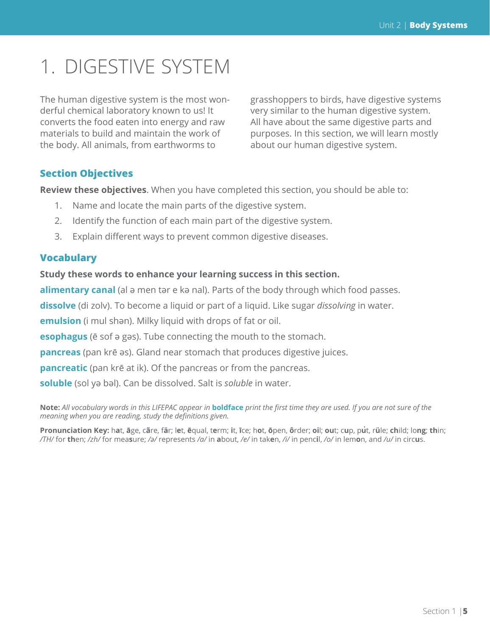# 1. DIGESTIVE SYSTEM

The human digestive system is the most wonderful chemical laboratory known to us! It converts the food eaten into energy and raw materials to build and maintain the work of the body. All animals, from earthworms to

grasshoppers to birds, have digestive systems very similar to the human digestive system. All have about the same digestive parts and purposes. In this section, we will learn mostly about our human digestive system.

### **Section Objectives**

**Review these objectives**. When you have completed this section, you should be able to:

- 1. Name and locate the main parts of the digestive system.
- 2. Identify the function of each main part of the digestive system.
- 3. Explain different ways to prevent common digestive diseases.

#### **Vocabulary**

### **Study these words to enhance your learning success in this section.**

alimentary canal (al ә men tәr e kә nal). Parts of the body through which food passes.

**dissolve** (di zolv). To become a liquid or part of a liquid. Like sugar *dissolving* in water.

**emulsion** (i mul shәn). Milky liquid with drops of fat or oil.

**esophagus** (ē sof ә gәs). Tube connecting the mouth to the stomach.

**pancreas** (pan krē әs). Gland near stomach that produces digestive juices.

**pancreatic** (pan krē at ik). Of the pancreas or from the pancreas.

**soluble** (sol yә bәl). Can be dissolved. Salt is *soluble* in water.

**Note:** *All vocabulary words in this LIFEPAC appear in* **boldface** *print the first time they are used. If you are not sure of the meaning when you are reading, study the definitions given.*

.<br>Pronunciation Key: hat, āge, cãre, fär; let, ēqual, term; it, īce; hot, ōpen, ôrder; oil; out; cup, put, rüle; child; long; thin; /TH/ for then; /zh/ for measure; /a/ represents /a/ in about, /e/ in taken, /i/ in pencil, /o/ in lemon, and /u/ in circus.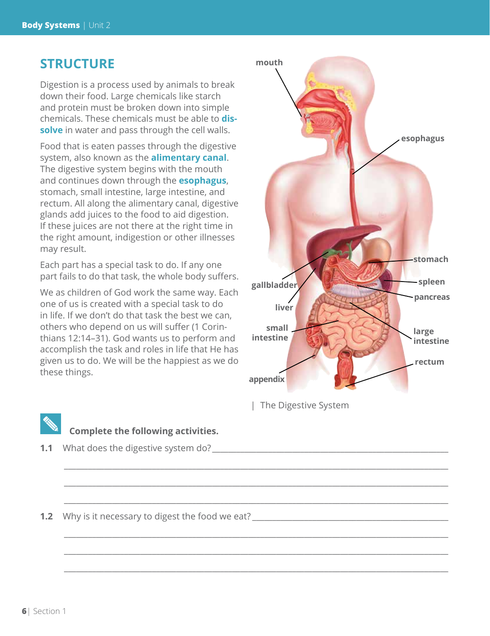# **STRUCTURE**

Digestion is a process used by animals to break down their food. Large chemicals like starch and protein must be broken down into simple chemicals. These chemicals must be able to **dissolve** in water and pass through the cell walls.

Food that is eaten passes through the digestive system, also known as the **alimentary canal**. The digestive system begins with the mouth and continues down through the **esophagus**, stomach, small intestine, large intestine, and rectum. All along the alimentary canal, digestive glands add juices to the food to aid digestion. If these juices are not there at the right time in the right amount, indigestion or other illnesses may result.

Each part has a special task to do. If any one part fails to do that task, the whole body suffers.

We as children of God work the same way. Each one of us is created with a special task to do in life. If we don't do that task the best we can, others who depend on us will suffer (1 Corinthians 12:14–31). God wants us to perform and accomplish the task and roles in life that He has given us to do. We will be the happiest as we do these things.



| The Digestive System

 $\_$  ,  $\_$  ,  $\_$  ,  $\_$  ,  $\_$  ,  $\_$  ,  $\_$  ,  $\_$  ,  $\_$  ,  $\_$  ,  $\_$  ,  $\_$  ,  $\_$  ,  $\_$  ,  $\_$  ,  $\_$  ,  $\_$  ,  $\_$  ,  $\_$  ,  $\_$  ,  $\_$  ,  $\_$  ,  $\_$  ,  $\_$  ,  $\_$  ,  $\_$  ,  $\_$  ,  $\_$  ,  $\_$  ,  $\_$  ,  $\_$  ,  $\_$  ,  $\_$  ,  $\_$  ,  $\_$  ,  $\_$  ,  $\_$  ,

 $\_$  ,  $\_$  ,  $\_$  ,  $\_$  ,  $\_$  ,  $\_$  ,  $\_$  ,  $\_$  ,  $\_$  ,  $\_$  ,  $\_$  ,  $\_$  ,  $\_$  ,  $\_$  ,  $\_$  ,  $\_$  ,  $\_$  ,  $\_$  ,  $\_$  ,  $\_$  ,  $\_$  ,  $\_$  ,  $\_$  ,  $\_$  ,  $\_$  ,  $\_$  ,  $\_$  ,  $\_$  ,  $\_$  ,  $\_$  ,  $\_$  ,  $\_$  ,  $\_$  ,  $\_$  ,  $\_$  ,  $\_$  ,  $\_$  ,

 $\_$  ,  $\_$  ,  $\_$  ,  $\_$  ,  $\_$  ,  $\_$  ,  $\_$  ,  $\_$  ,  $\_$  ,  $\_$  ,  $\_$  ,  $\_$  ,  $\_$  ,  $\_$  ,  $\_$  ,  $\_$  ,  $\_$  ,  $\_$  ,  $\_$  ,  $\_$  ,  $\_$  ,  $\_$  ,  $\_$  ,  $\_$  ,  $\_$  ,  $\_$  ,  $\_$  ,  $\_$  ,  $\_$  ,  $\_$  ,  $\_$  ,  $\_$  ,  $\_$  ,  $\_$  ,  $\_$  ,  $\_$  ,  $\_$  ,

 $\_$  ,  $\_$  ,  $\_$  ,  $\_$  ,  $\_$  ,  $\_$  ,  $\_$  ,  $\_$  ,  $\_$  ,  $\_$  ,  $\_$  ,  $\_$  ,  $\_$  ,  $\_$  ,  $\_$  ,  $\_$  ,  $\_$  ,  $\_$  ,  $\_$  ,  $\_$  ,  $\_$  ,  $\_$  ,  $\_$  ,  $\_$  ,  $\_$  ,  $\_$  ,  $\_$  ,  $\_$  ,  $\_$  ,  $\_$  ,  $\_$  ,  $\_$  ,  $\_$  ,  $\_$  ,  $\_$  ,  $\_$  ,  $\_$  ,

 $\_$  ,  $\_$  ,  $\_$  ,  $\_$  ,  $\_$  ,  $\_$  ,  $\_$  ,  $\_$  ,  $\_$  ,  $\_$  ,  $\_$  ,  $\_$  ,  $\_$  ,  $\_$  ,  $\_$  ,  $\_$  ,  $\_$  ,  $\_$  ,  $\_$  ,  $\_$  ,  $\_$  ,  $\_$  ,  $\_$  ,  $\_$  ,  $\_$  ,  $\_$  ,  $\_$  ,  $\_$  ,  $\_$  ,  $\_$  ,  $\_$  ,  $\_$  ,  $\_$  ,  $\_$  ,  $\_$  ,  $\_$  ,  $\_$  ,

 $\_$  ,  $\_$  ,  $\_$  ,  $\_$  ,  $\_$  ,  $\_$  ,  $\_$  ,  $\_$  ,  $\_$  ,  $\_$  ,  $\_$  ,  $\_$  ,  $\_$  ,  $\_$  ,  $\_$  ,  $\_$  ,  $\_$  ,  $\_$  ,  $\_$  ,  $\_$  ,  $\_$  ,  $\_$  ,  $\_$  ,  $\_$  ,  $\_$  ,  $\_$  ,  $\_$  ,  $\_$  ,  $\_$  ,  $\_$  ,  $\_$  ,  $\_$  ,  $\_$  ,  $\_$  ,  $\_$  ,  $\_$  ,  $\_$  ,



# **Complete the following activities.**

**1.1** What does the digestive system do?

**1.2** Why is it necessary to digest the food we eat?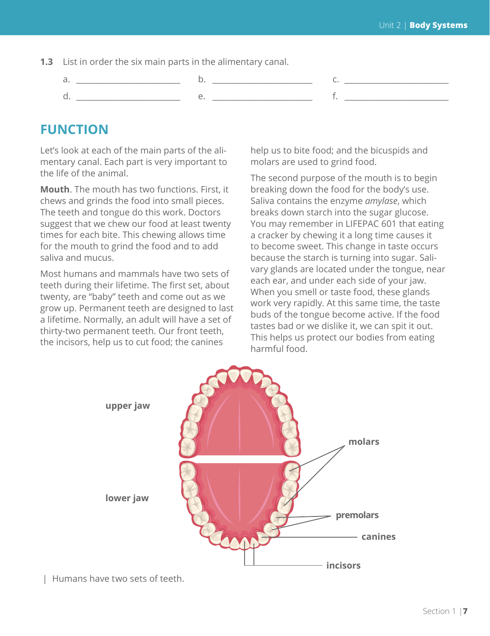- **1.3** List in order the six main parts in the alimentary canal.
	- a. \_\_\_\_\_\_\_\_\_\_\_\_\_\_\_\_\_\_\_\_\_\_\_\_\_\_ b. \_\_\_\_\_\_\_\_\_\_\_\_\_\_\_\_\_\_\_\_\_\_\_\_\_ c. \_\_\_\_\_\_\_\_\_\_\_\_\_\_\_\_\_\_\_\_\_\_\_\_\_\_ d. \_\_\_\_\_\_\_\_\_\_\_\_\_\_\_\_\_\_\_\_\_\_\_\_\_\_ e. \_\_\_\_\_\_\_\_\_\_\_\_\_\_\_\_\_\_\_\_\_\_\_\_\_ f. \_\_\_\_\_\_\_\_\_\_\_\_\_\_\_\_\_\_\_\_\_\_\_\_\_\_

# **FUNCTION**

Let's look at each of the main parts of the alimentary canal. Each part is very important to the life of the animal.

**Mouth**. The mouth has two functions. First, it chews and grinds the food into small pieces. The teeth and tongue do this work. Doctors suggest that we chew our food at least twenty times for each bite. This chewing allows time for the mouth to grind the food and to add saliva and mucus.

Most humans and mammals have two sets of teeth during their lifetime. The first set, about twenty, are "baby" teeth and come out as we grow up. Permanent teeth are designed to last a lifetime. Normally, an adult will have a set of thirty-two permanent teeth. Our front teeth, the incisors, help us to cut food; the canines

help us to bite food; and the bicuspids and molars are used to grind food.

The second purpose of the mouth is to begin breaking down the food for the body's use. Saliva contains the enzyme *amylase*, which breaks down starch into the sugar glucose. You may remember in LIFEPAC 601 that eating a cracker by chewing it a long time causes it to become sweet. This change in taste occurs because the starch is turning into sugar. Salivary glands are located under the tongue, near each ear, and under each side of your jaw. When you smell or taste food, these glands work very rapidly. At this same time, the taste buds of the tongue become active. If the food tastes bad or we dislike it, we can spit it out. This helps us protect our bodies from eating harmful food.



| Humans have two sets of teeth.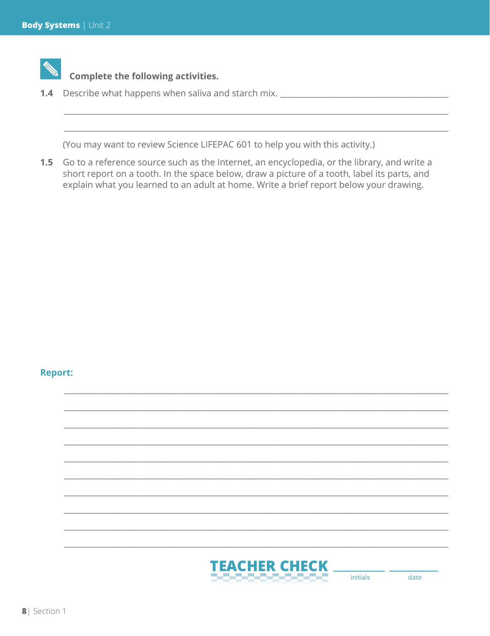

# **Complete the following activities.**

1.4 Describe what happens when saliva and starch mix.

(You may want to review Science LIFEPAC 601 to help you with this activity.)

1.5 Go to a reference source such as the Internet, an encyclopedia, or the library, and write a short report on a tooth. In the space below, draw a picture of a tooth, label its parts, and explain what you learned to an adult at home. Write a brief report below your drawing.

#### **Report:**

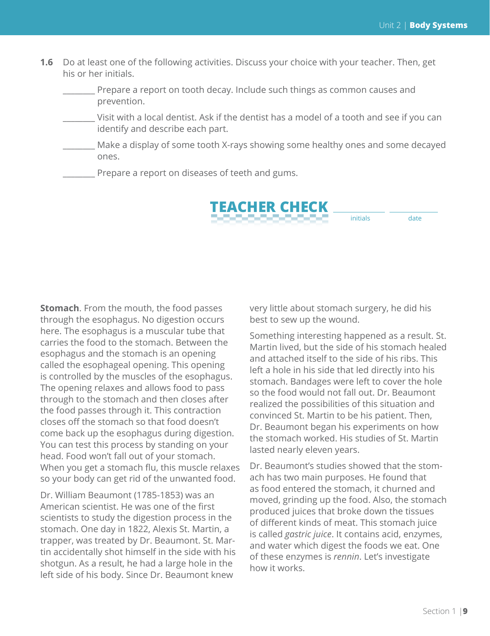**1.6** Do at least one of the following activities. Discuss your choice with your teacher. Then, get his or her initials.

Prepare a report on tooth decay. Include such things as common causes and prevention.

- \_\_\_\_\_\_\_\_ Visit with a local dentist. Ask if the dentist has a model of a tooth and see if you can identify and describe each part.
- Make a display of some tooth X-rays showing some healthy ones and some decayed ones.

Prepare a report on diseases of teeth and gums.



**Stomach**. From the mouth, the food passes through the esophagus. No digestion occurs here. The esophagus is a muscular tube that carries the food to the stomach. Between the esophagus and the stomach is an opening called the esophageal opening. This opening is controlled by the muscles of the esophagus. The opening relaxes and allows food to pass through to the stomach and then closes after the food passes through it. This contraction closes off the stomach so that food doesn't come back up the esophagus during digestion. You can test this process by standing on your head. Food won't fall out of your stomach. When you get a stomach flu, this muscle relaxes so your body can get rid of the unwanted food.

Dr. William Beaumont (1785-1853) was an American scientist. He was one of the first scientists to study the digestion process in the stomach. One day in 1822, Alexis St. Martin, a trapper, was treated by Dr. Beaumont. St. Martin accidentally shot himself in the side with his shotgun. As a result, he had a large hole in the left side of his body. Since Dr. Beaumont knew

very little about stomach surgery, he did his best to sew up the wound.

Something interesting happened as a result. St. Martin lived, but the side of his stomach healed and attached itself to the side of his ribs. This left a hole in his side that led directly into his stomach. Bandages were left to cover the hole so the food would not fall out. Dr. Beaumont realized the possibilities of this situation and convinced St. Martin to be his patient. Then, Dr. Beaumont began his experiments on how the stomach worked. His studies of St. Martin lasted nearly eleven years.

Dr. Beaumont's studies showed that the stomach has two main purposes. He found that as food entered the stomach, it churned and moved, grinding up the food. Also, the stomach produced juices that broke down the tissues of different kinds of meat. This stomach juice is called *gastric juice*. It contains acid, enzymes, and water which digest the foods we eat. One of these enzymes is *rennin*. Let's investigate how it works.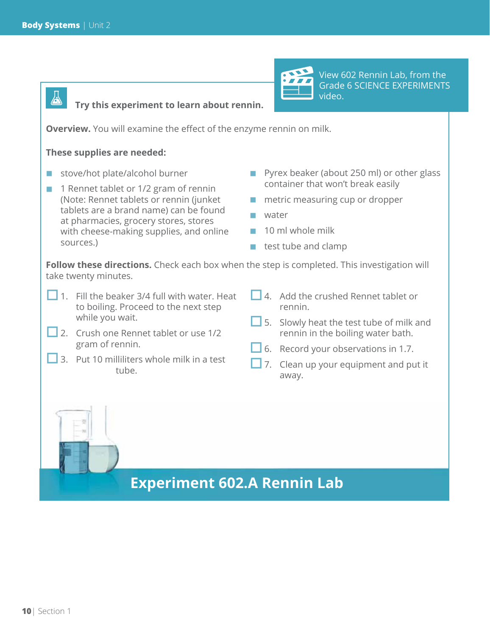囚



View 602 Rennin Lab, from the Grade 6 SCIENCE EXPERIMENTS video.

**Try this experiment to learn about rennin.**

**Overview.** You will examine the effect of the enzyme rennin on milk.

#### **These supplies are needed:**

- stove/hot plate/alcohol burner
- **1** 1 Rennet tablet or 1/2 gram of rennin (Note: Rennet tablets or rennin (junket tablets are a brand name) can be found at pharmacies, grocery stores, stores with cheese-making supplies, and online sources.)
- **Pyrex beaker (about 250 ml) or other glass** container that won't break easily
- metric measuring cup or dropper
- water
- 10 ml whole milk
- test tube and clamp

Follow these directions. Check each box when the step is completed. This investigation will take twenty minutes.

- $\Box$  1. Fill the beaker 3/4 full with water. Heat to boiling. Proceed to the next step while you wait.
- 2. Crush one Rennet tablet or use 1/2 gram of rennin.
- 3. Put 10 milliliters whole milk in a test tube.
- $\Box$  4. Add the crushed Rennet tablet or rennin.
- $\Box$  5. Slowly heat the test tube of milk and rennin in the boiling water bath.
- 6. Record your observations in 1.7.
- **7.** Clean up your equipment and put it away.

# **Experiment 602.A Rennin Lab**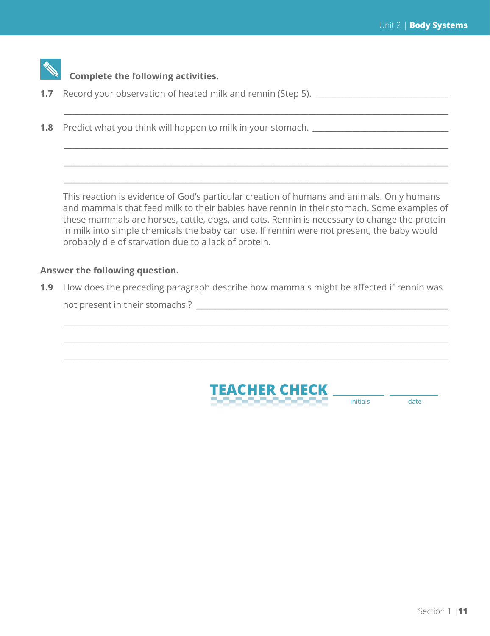

# **Complete the following activities.**

- **1.7** Record your observation of heated milk and rennin (Step 5). \_\_\_\_\_\_\_\_\_\_\_\_\_\_\_
- **1.8** Predict what you think will happen to milk in your stomach. \_\_\_\_\_\_\_\_\_\_\_\_\_\_\_

This reaction is evidence of God's particular creation of humans and animals. Only humans and mammals that feed milk to their babies have rennin in their stomach. Some examples of these mammals are horses, cattle, dogs, and cats. Rennin is necessary to change the protein in milk into simple chemicals the baby can use. If rennin were not present, the baby would probably die of starvation due to a lack of protein.

 $\_$  ,  $\_$  ,  $\_$  ,  $\_$  ,  $\_$  ,  $\_$  ,  $\_$  ,  $\_$  ,  $\_$  ,  $\_$  ,  $\_$  ,  $\_$  ,  $\_$  ,  $\_$  ,  $\_$  ,  $\_$  ,  $\_$  ,  $\_$  ,  $\_$  ,  $\_$ 

 $\_$  ,  $\_$  ,  $\_$  ,  $\_$  ,  $\_$  ,  $\_$  ,  $\_$  ,  $\_$  ,  $\_$  ,  $\_$  ,  $\_$  ,  $\_$  ,  $\_$  ,  $\_$  ,  $\_$  ,  $\_$  ,  $\_$  ,  $\_$  ,  $\_$  ,  $\_$ 

 $\_$  ,  $\_$  ,  $\_$  ,  $\_$  ,  $\_$  ,  $\_$  ,  $\_$  ,  $\_$  ,  $\_$  ,  $\_$  ,  $\_$  ,  $\_$  ,  $\_$  ,  $\_$  ,  $\_$  ,  $\_$  ,  $\_$  ,  $\_$  ,  $\_$  ,  $\_$ 

 $\_$  ,  $\_$  ,  $\_$  ,  $\_$  ,  $\_$  ,  $\_$  ,  $\_$  ,  $\_$  ,  $\_$  ,  $\_$  ,  $\_$  ,  $\_$  ,  $\_$  ,  $\_$  ,  $\_$  ,  $\_$  ,  $\_$  ,  $\_$  ,  $\_$  ,  $\_$ 

 $\_$  ,  $\_$  ,  $\_$  ,  $\_$  ,  $\_$  ,  $\_$  ,  $\_$  ,  $\_$  ,  $\_$  ,  $\_$  ,  $\_$  ,  $\_$  ,  $\_$  ,  $\_$  ,  $\_$  ,  $\_$  ,  $\_$  ,  $\_$  ,  $\_$  ,  $\_$ 

 $\_$  ,  $\_$  ,  $\_$  ,  $\_$  ,  $\_$  ,  $\_$  ,  $\_$  ,  $\_$  ,  $\_$  ,  $\_$  ,  $\_$  ,  $\_$  ,  $\_$  ,  $\_$  ,  $\_$  ,  $\_$  ,  $\_$  ,  $\_$  ,  $\_$  ,  $\_$ 

 $\_$  ,  $\_$  ,  $\_$  ,  $\_$  ,  $\_$  ,  $\_$  ,  $\_$  ,  $\_$  ,  $\_$  ,  $\_$  ,  $\_$  ,  $\_$  ,  $\_$  ,  $\_$  ,  $\_$  ,  $\_$  ,  $\_$  ,  $\_$  ,  $\_$  ,  $\_$ 

#### **Answer the following question.**

**1.9** How does the preceding paragraph describe how mammals might be affected if rennin was

not present in their stomachs ? \_\_\_\_\_\_\_\_\_\_\_\_\_\_\_\_\_\_\_\_\_\_\_\_\_\_\_\_\_\_\_\_\_\_\_\_\_\_\_\_\_\_\_\_\_\_\_\_\_\_\_\_\_\_\_\_\_\_\_\_\_\_\_



initials date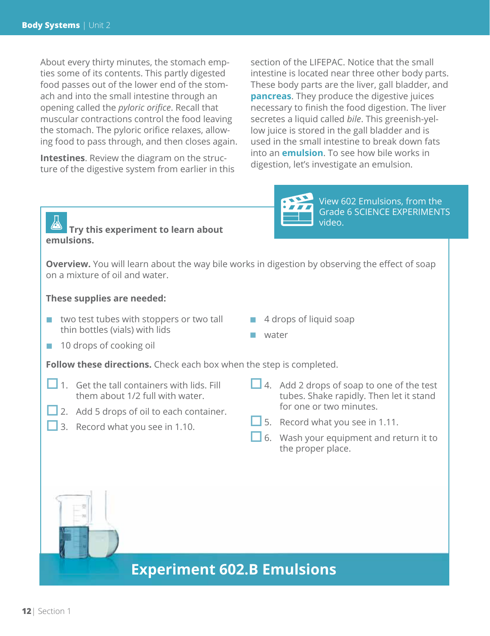About every thirty minutes, the stomach empties some of its contents. This partly digested food passes out of the lower end of the stomach and into the small intestine through an opening called the *pyloric orifice*. Recall that muscular contractions control the food leaving the stomach. The pyloric orifice relaxes, allowing food to pass through, and then closes again.

**Intestines**. Review the diagram on the structure of the digestive system from earlier in this section of the LIFEPAC. Notice that the small intestine is located near three other body parts. These body parts are the liver, gall bladder, and **pancreas**. They produce the digestive juices necessary to finish the food digestion. The liver secretes a liquid called *bile*. This greenish-yellow juice is stored in the gall bladder and is used in the small intestine to break down fats into an **emulsion**. To see how bile works in digestion, let's investigate an emulsion.



View 602 Emulsions, from the Grade 6 SCIENCE EXPERIMENTS video.

## **Try this experiment to learn about emulsions.**

**Overview.** You will learn about the way bile works in digestion by observing the effect of soap on a mixture of oil and water.

#### **These supplies are needed:**

- two test tubes with stoppers or two tall thin bottles (vials) with lids
- 4 drops of liquid soap
- water

■ 10 drops of cooking oil

**Follow these directions.** Check each box when the step is completed.

- 1. Get the tall containers with lids. Fill them about 1/2 full with water.
- 2. Add 5 drops of oil to each container.
- 3. Record what you see in 1.10.
- $\Box$  4. Add 2 drops of soap to one of the test tubes. Shake rapidly. Then let it stand for one or two minutes.
- $\Box$  5. Record what you see in 1.11.
- $\Box$  6. Wash your equipment and return it to the proper place.



**Experiment 602.B Emulsions**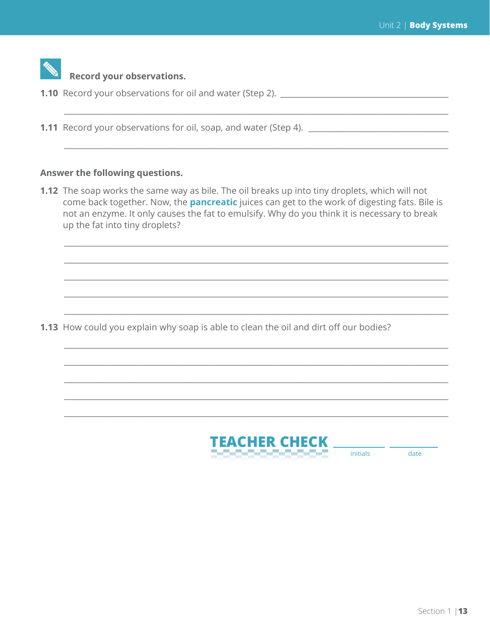| <b>Record your observations.</b>                                         |
|--------------------------------------------------------------------------|
| <b>1.10</b> Record your observations for oil and water (Step 2). _______ |
|                                                                          |
| <b>1.11</b> Record your observations for oil, soap, and water (Step 4).  |
|                                                                          |
|                                                                          |

### Answer the following questions.

1.12 The soap works the same way as bile. The oil breaks up into tiny droplets, which will not come back together. Now, the **pancreatic** juices can get to the work of digesting fats. Bile is not an enzyme. It only causes the fat to emulsify. Why do you think it is necessary to break up the fat into tiny droplets?

1.13 How could you explain why soap is able to clean the oil and dirt off our bodies?



date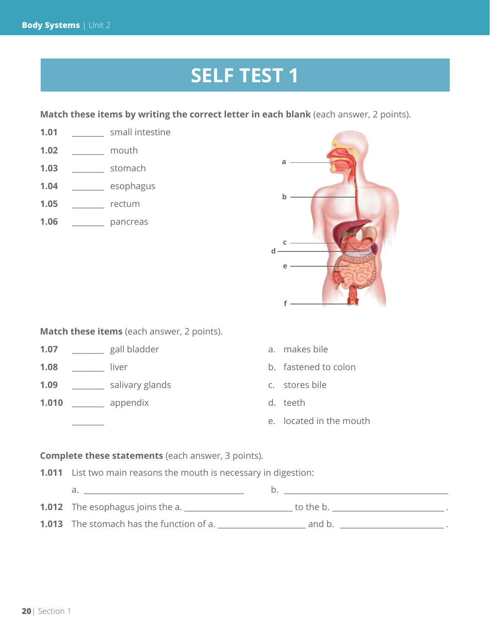# **SELF TEST 1**

**Match these items by writing the correct letter in each blank** (each answer, 2 points).

- **1.01** \_\_\_\_\_\_\_\_ small intestine **1.02** \_\_\_\_\_\_\_\_ mouth **1.03** \_\_\_\_\_\_\_\_ stomach
- **1.04** \_\_\_\_\_\_\_\_ esophagus
- **1.05** \_\_\_\_\_\_\_\_ rectum
- **1.06** \_\_\_\_\_\_\_\_ pancreas



**Match these items** (each answer, 2 points).

- **1.07** \_\_\_\_\_\_\_\_ gall bladder a. makes bile
- **1.08** \_\_\_\_\_\_\_\_ liver b. fastened to colon
- **1.09** \_\_\_\_\_\_\_\_ salivary glands c. stores bile
- **1.010** \_\_\_\_\_\_\_\_ appendix d. teeth
- 
- 
- -
	- e. located in the mouth

#### **Complete these statements** (each answer, 3 points).

- **1.011** List two main reasons the mouth is necessary in digestion:
	- a. \_\_\_\_\_\_\_\_\_\_\_\_\_\_\_\_\_\_\_\_\_\_\_\_\_\_\_\_\_\_\_\_\_\_\_\_\_\_\_\_ b. \_\_\_\_\_\_\_\_\_\_\_\_\_\_\_\_\_\_\_\_\_\_\_\_\_\_\_\_\_\_\_\_\_\_\_\_\_\_\_\_\_
- **1.012** The esophagus joins the a. \_\_\_\_\_\_\_\_\_\_\_\_\_\_\_\_\_\_\_\_\_\_\_\_\_\_\_ to the b. \_\_\_\_\_\_\_\_\_\_\_\_\_\_\_\_\_\_\_\_\_\_\_\_\_\_\_\_ .
- **1.013** The stomach has the function of a. \_\_\_\_\_\_\_\_\_\_\_\_\_\_\_\_\_\_\_\_\_\_ and b. \_\_\_\_\_\_\_\_\_\_\_\_\_\_\_\_\_\_\_\_\_\_\_\_\_\_ .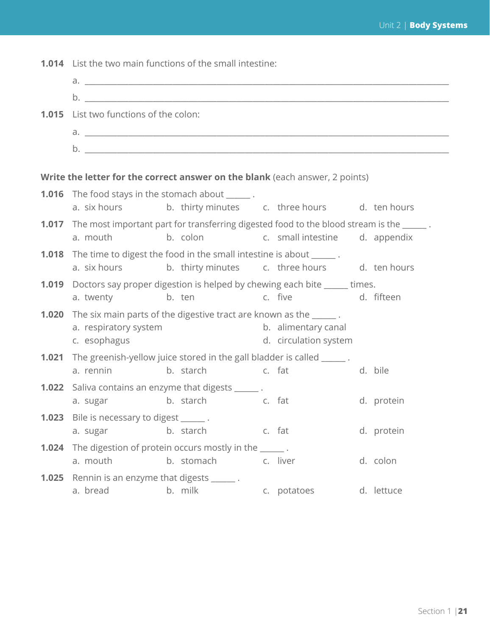|                                                                              | <b>1.014</b> List the two main functions of the small intestine:                                                   |                                                                                                                        |  |                       |  |            |  |
|------------------------------------------------------------------------------|--------------------------------------------------------------------------------------------------------------------|------------------------------------------------------------------------------------------------------------------------|--|-----------------------|--|------------|--|
|                                                                              |                                                                                                                    |                                                                                                                        |  |                       |  |            |  |
|                                                                              |                                                                                                                    |                                                                                                                        |  |                       |  |            |  |
| 1.015                                                                        | List two functions of the colon:                                                                                   |                                                                                                                        |  |                       |  |            |  |
|                                                                              |                                                                                                                    |                                                                                                                        |  |                       |  |            |  |
|                                                                              |                                                                                                                    |                                                                                                                        |  |                       |  |            |  |
|                                                                              |                                                                                                                    |                                                                                                                        |  |                       |  |            |  |
| Write the letter for the correct answer on the blank (each answer, 2 points) |                                                                                                                    |                                                                                                                        |  |                       |  |            |  |
|                                                                              |                                                                                                                    | <b>1.016</b> The food stays in the stomach about ______.<br>a. six hours b. thirty minutes c. three hours d. ten hours |  |                       |  |            |  |
|                                                                              |                                                                                                                    | <b>1.017</b> The most important part for transferring digested food to the blood stream is the ______.                 |  |                       |  |            |  |
|                                                                              | a. mouth                                                                                                           | b. colon c. small intestine d. appendix                                                                                |  |                       |  |            |  |
|                                                                              |                                                                                                                    | <b>1.018</b> The time to digest the food in the small intestine is about ______.                                       |  |                       |  |            |  |
|                                                                              |                                                                                                                    | a. six hours b. thirty minutes c. three hours d. ten hours                                                             |  |                       |  |            |  |
|                                                                              |                                                                                                                    | <b>1.019</b> Doctors say proper digestion is helped by chewing each bite ______ times.                                 |  |                       |  |            |  |
|                                                                              | a. twenty b. ten                                                                                                   |                                                                                                                        |  | c. five d. fifteen    |  |            |  |
| 1.020                                                                        | The six main parts of the digestive tract are known as the ______.<br>a. respiratory system<br>b. alimentary canal |                                                                                                                        |  |                       |  |            |  |
|                                                                              | c. esophagus                                                                                                       |                                                                                                                        |  | d. circulation system |  |            |  |
| 1.021                                                                        | The greenish-yellow juice stored in the gall bladder is called ______.                                             |                                                                                                                        |  |                       |  |            |  |
|                                                                              |                                                                                                                    |                                                                                                                        |  |                       |  |            |  |
|                                                                              | a. rennin                                                                                                          | b. starch c. fat                                                                                                       |  |                       |  | d. bile    |  |
|                                                                              |                                                                                                                    | <b>1.022</b> Saliva contains an enzyme that digests ______.                                                            |  |                       |  |            |  |
|                                                                              |                                                                                                                    | a. sugar b. starch c. fat                                                                                              |  |                       |  | d. protein |  |
|                                                                              | 1.023 Bile is necessary to digest ______.                                                                          |                                                                                                                        |  |                       |  |            |  |
|                                                                              | a. sugar                                                                                                           | b. starch                                                                                                              |  | c. fat                |  | d. protein |  |
|                                                                              | a. mouth                                                                                                           | <b>1.024</b> The digestion of protein occurs mostly in the ______.<br>b. stomach                                       |  | c. liver              |  | d. colon   |  |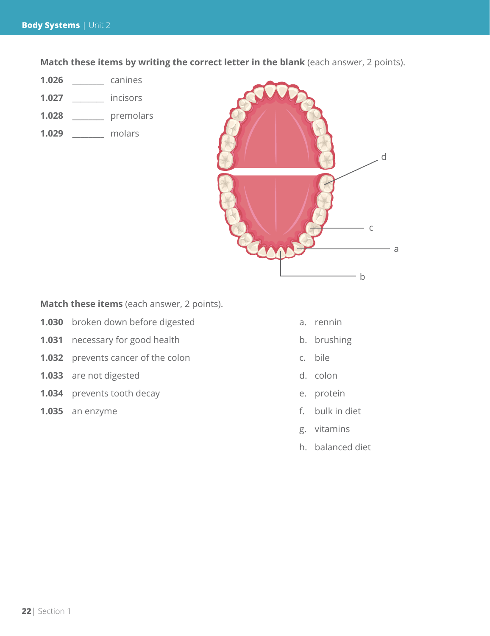**Match these items by writing the correct letter in the blank** (each answer, 2 points).

- **1.026** \_\_\_\_\_\_\_\_ canines
- **1.027** \_\_\_\_\_\_\_\_ incisors
- **1.028** \_\_\_\_\_\_\_\_ premolars
- **1.029** \_\_\_\_\_\_\_\_ molars



**Match these items** (each answer, 2 points).

- **1.030** broken down before digested a. rennin
- **1.031** necessary for good health b. brushing
- **1.032** prevents cancer of the colon c. bile
- **1.033** are not digested d. colon
- **1.034** prevents tooth decay e. protein
- **1.035** an enzyme f. bulk in diet
- 
- 
- 
- 
- 
- 
- g. vitamins
- h. balanced diet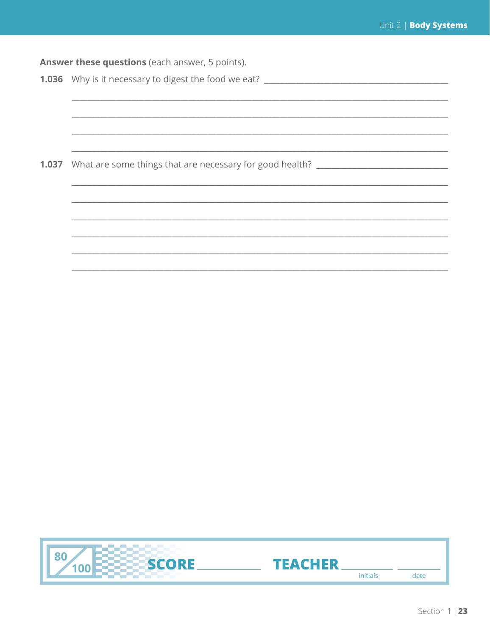Answer these questions (each answer, 5 points). 1.036 Why is it necessary to digest the food we eat? \_\_\_\_\_\_\_\_\_\_\_\_\_\_\_\_\_\_\_\_\_\_\_\_\_\_\_\_ 1.037 What are some things that are necessary for good health? \_\_\_\_\_\_\_\_\_\_\_\_\_\_\_\_\_\_